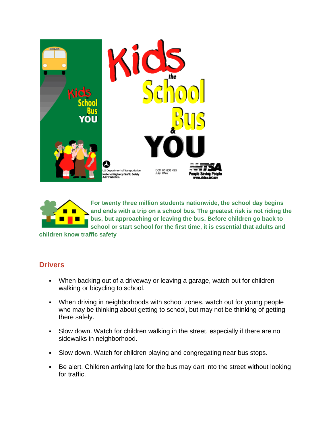



**For twenty three million students nationwide, the school day begins and ends with a trip on a school bus. The greatest risk is not riding the bus, but approaching or leaving the bus. Before children go back to school or start school for the first time, it is essential that adults and** 

**children know traffic safety**

## **Drivers**

- When backing out of a driveway or leaving a garage, watch out for children walking or bicycling to school.
- When driving in neighborhoods with school zones, watch out for young people who may be thinking about getting to school, but may not be thinking of getting there safely.
- Slow down. Watch for children walking in the street, especially if there are no sidewalks in neighborhood.
- Slow down. Watch for children playing and congregating near bus stops.
- Be alert. Children arriving late for the bus may dart into the street without looking for traffic.